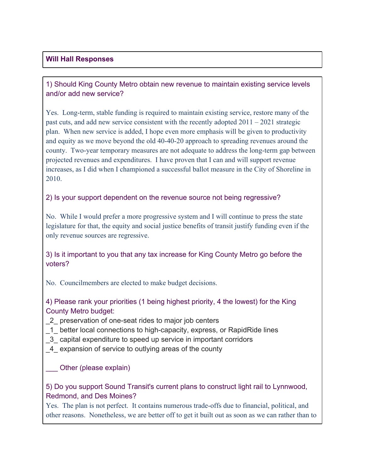## **Will Hall Responses**

## 1) Should King County Metro obtain new revenue to maintain existing service levels and/or add new service?

Yes. Long-term, stable funding is required to maintain existing service, restore many of the past cuts, and add new service consistent with the recently adopted 2011 – 2021 strategic plan. When new service is added, I hope even more emphasis will be given to productivity and equity as we move beyond the old 40-40-20 approach to spreading revenues around the county. Two-year temporary measures are not adequate to address the long-term gap between projected revenues and expenditures. I have proven that I can and will support revenue increases, as I did when I championed a successful ballot measure in the City of Shoreline in 2010.

#### 2) Is your support dependent on the revenue source not being regressive?

No. While I would prefer a more progressive system and I will continue to press the state legislature for that, the equity and social justice benefits of transit justify funding even if the only revenue sources are regressive.

## 3) Is it important to you that any tax increase for King County Metro go before the voters?

No. Councilmembers are elected to make budget decisions.

## 4) Please rank your priorities (1 being highest priority, 4 the lowest) for the King County Metro budget:

- \_2\_ preservation of one-seat rides to major job centers
- \_1\_ better local connections to high-capacity, express, or RapidRide lines
- \_3\_ capital expenditure to speed up service in important corridors
- \_4\_ expansion of service to outlying areas of the county

#### \_\_\_ Other (please explain)

## 5) Do you support Sound Transit's current plans to construct light rail to Lynnwood, Redmond, and Des Moines?

Yes. The plan is not perfect. It contains numerous trade-offs due to financial, political, and other reasons. Nonetheless, we are better off to get it built out as soon as we can rather than to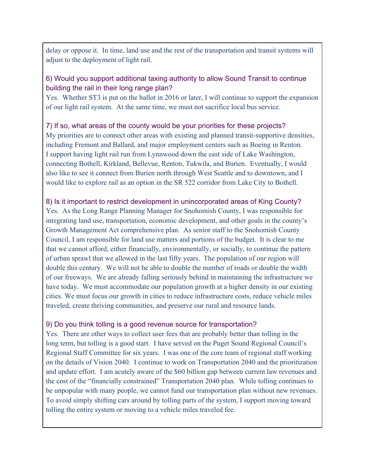delay or oppose it. In time, land use and the rest of the transportation and transit systems will adjust to the deployment of light rail.

## 6) Would you support additional taxing authority to allow Sound Transit to continue building the rail in their long range plan?

Yes. Whether ST3 is put on the ballot in 2016 or later, I will continue to support the expansion of our light rail system. At the same time, we must not sacrifice local bus service.

## 7) If so, what areas of the county would be your priorities for these projects?

My priorities are to connect other areas with existing and planned transit-supportive densities, including Fremont and Ballard, and major employment centers such as Boeing in Renton. I support having light rail run from Lynnwood down the east side of Lake Washington, connecting Bothell, Kirkland, Bellevue, Renton, Tukwila, and Burien. Eventually, I would also like to see it connect from Burien north through West Seattle and to downtown, and I would like to explore rail as an option in the SR 522 corridor from Lake City to Bothell.

#### 8) Is it important to restrict development in unincorporated areas of King County?

Yes. As the Long Range Planning Manager for Snohomish County, I was responsible for integrating land use, transportation, economic development, and other goals in the county's Growth Management Act comprehensive plan. As senior staff to the Snohomish County Council, I am responsible for land use matters and portions of the budget. It is clear to me that we cannot afford, either financially, environmentally, or socially, to continue the pattern of urban sprawl that we allowed in the last fifty years. The population of our region will double this century. We will not be able to double the number of roads or double the width of our freeways. We are already falling seriously behind in maintaining the infrastructure we have today. We must accommodate our population growth at a higher density in our existing cities. We must focus our growth in cities to reduce infrastructure costs, reduce vehicle miles traveled, create thriving communities, and preserve our rural and resource lands.

#### 9) Do you think tolling is a good revenue source for transportation?

Yes. There are other ways to collect user fees that are probably better than tolling in the long term, but tolling is a good start. I have served on the Puget Sound Regional Council's Regional Staff Committee for six years. I was one of the core team of regional staff working on the details of Vision 2040. I continue to work on Transportation 2040 and the prioritization and update effort. I am acutely aware of the \$60 billion gap between current law revenues and the cost of the "financially constrained" Transportation 2040 plan. While tolling continues to be unpopular with many people, we cannot fund our transportation plan without new revenues. To avoid simply shifting cars around by tolling parts of the system, I support moving toward tolling the entire system or moving to a vehicle miles traveled fee.